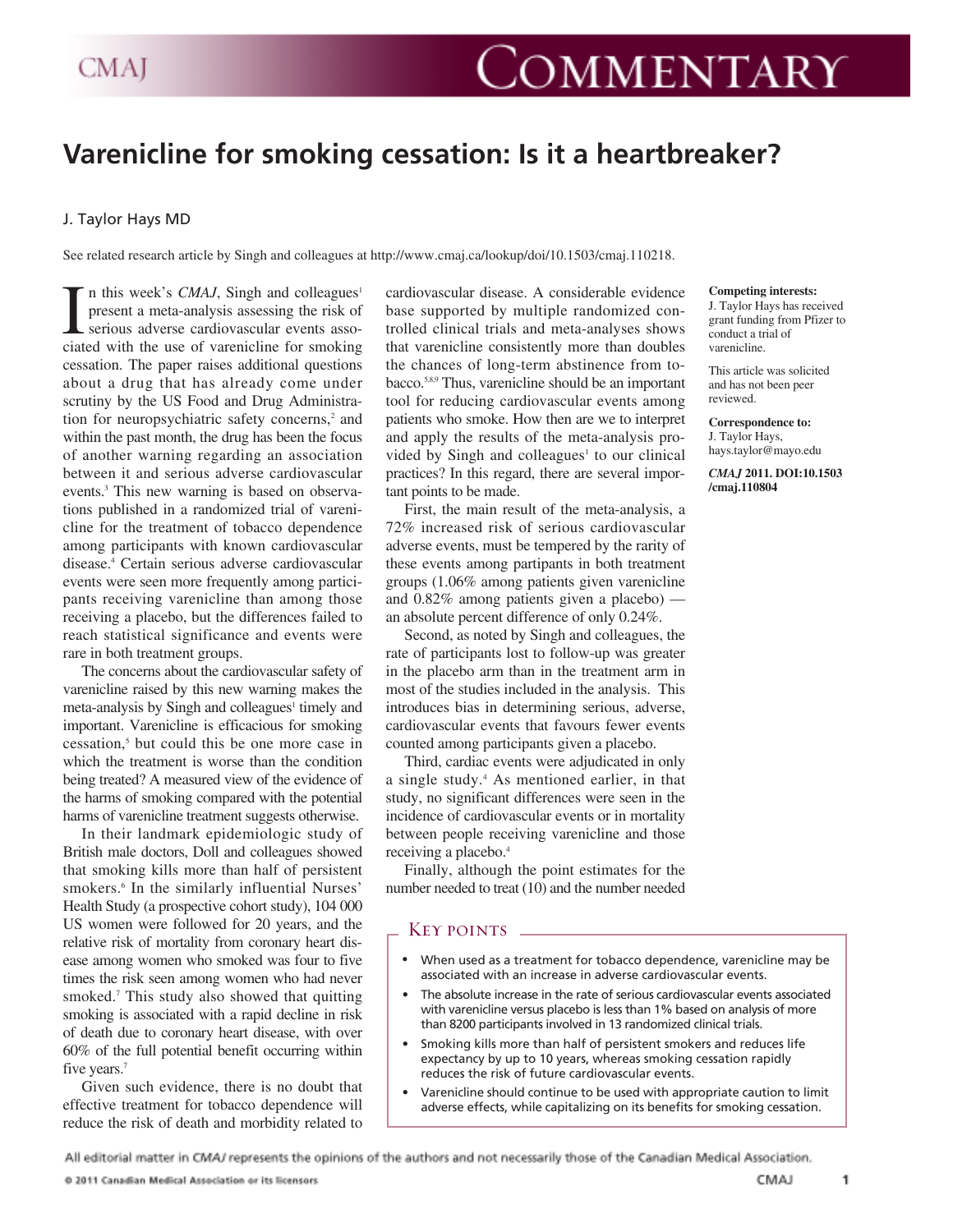# **Varenicline for smoking cessation: Is it a heartbreaker?**

## J. Taylor Hays MD

See related research article by Singh and colleagues at http://www.cmaj.ca/lookup/doi/10.1503/cmaj.110218.

I in this week's CMAJ, Singh and colleagues' present a meta-analysis assessing the risk of serious adverse cardiovascular events associated with the use of varenicline for smoking n this week's *CMAJ*, Singh and colleagues<sup>1</sup> present a meta-analysis assessing the risk of serious adverse cardiovascular events assocessation. The paper raises additional questions about a drug that has already come under scrutiny by the US Food and Drug Administration for neuropsychiatric safety concerns,<sup>2</sup> and within the past month, the drug has been the focus of another warning regarding an association between it and serious adverse cardiovascular events.3 This new warning is based on observations published in a randomized trial of varenicline for the treatment of tobacco dependence among participants with known cardiovascular disease.<sup>4</sup> Certain serious adverse cardiovascular events were seen more frequently among participants receiving varenicline than among those receiving a placebo, but the differences failed to reach statistical significance and events were rare in both treatment groups.

The concerns about the cardiovascular safety of varenicline raised by this new warning makes the meta-analysis by Singh and colleagues<sup>1</sup> timely and important. Varenicline is efficacious for smoking cessation,5 but could this be one more case in which the treatment is worse than the condition being treated? A measured view of the evidence of the harms of smoking compared with the potential harms of varenicline treatment suggests otherwise.

In their landmark epidemiologic study of British male doctors, Doll and colleagues showed that smoking kills more than half of persistent smokers.<sup>6</sup> In the similarly influential Nurses' Health Study (a prospective cohort study), 104 000 US women were followed for 20 years, and the relative risk of mortality from coronary heart disease among women who smoked was four to five times the risk seen among women who had never smoked.<sup>7</sup> This study also showed that quitting smoking is associated with a rapid decline in risk of death due to coronary heart disease, with over 60% of the full potential benefit occurring within five years.<sup>7</sup>

Given such evidence, there is no doubt that effective treatment for tobacco dependence will reduce the risk of death and morbidity related to cardiovascular disease. A considerable evidence base supported by multiple randomized controlled clinical trials and meta-analyses shows that varenicline consistently more than doubles the chances of long-term abstinence from tobacco.5,8,9 Thus, varenicline should be an important tool for reducing cardiovascular events among patients who smoke. How then are we to interpret and apply the results of the meta-analysis provided by Singh and colleagues<sup>1</sup> to our clinical practices? In this regard, there are several important points to be made.

First, the main result of the meta-analysis, a 72% increased risk of serious cardiovascular adverse events, must be tempered by the rarity of these events among partipants in both treatment groups (1.06% among patients given varenicline and 0.82% among patients given a placebo) an absolute percent difference of only 0.24%.

Second, as noted by Singh and colleagues, the rate of participants lost to follow-up was greater in the placebo arm than in the treatment arm in most of the studies included in the analysis. This introduces bias in determining serious, adverse, cardiovascular events that favours fewer events counted among participants given a placebo.

Third, cardiac events were adjudicated in only a single study.4 As mentioned earlier, in that study, no significant differences were seen in the incidence of cardiovascular events or in mortality between people receiving varenicline and those receiving a placebo.<sup>4</sup>

Finally, although the point estimates for the number needed to treat (10) and the number needed

### KEY POINTS.

- When used as a treatment for tobacco dependence, varenicline may be associated with an increase in adverse cardiovascular events.
- The absolute increase in the rate of serious cardiovascular events associated with varenicline versus placebo is less than 1% based on analysis of more than 8200 participants involved in 13 randomized clinical trials.
- Smoking kills more than half of persistent smokers and reduces life expectancy by up to 10 years, whereas smoking cessation rapidly reduces the risk of future cardiovascular events.
- Varenicline should continue to be used with appropriate caution to limit adverse effects, while capitalizing on its benefits for smoking cessation.

All editorial matter in CMAJ represents the opinions of the authors and not necessarily those of the Canadian Medical Association.

#### **Competing interests:**

J. Taylor Hays has received grant funding from Pfizer to conduct a trial of varenicline.

This article was solicited and has not been peer reviewed.

**Correspondence to:** J. Taylor Hays, hays.taylor@mayo.edu

*CMAJ* **2011. DOI:10.1503 /cmaj.110804**

1

CMAJ